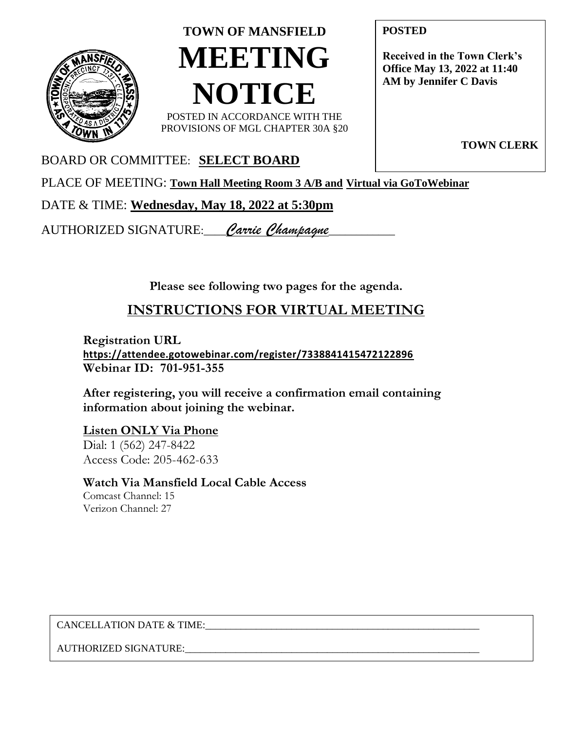

# **TOWN OF MANSFIELD MEETING NOTICE** POSTED IN ACCORDANCE WITH THE

PROVISIONS OF MGL CHAPTER 30A §20

**POSTED**

**Received in the Town Clerk's Office May 13, 2022 at 11:40 AM by Jennifer C Davis**

**TOWN CLERK**

### BOARD OR COMMITTEE: **SELECT BOARD**

PLACE OF MEETING: **Town Hall Meeting Room 3 A/B and Virtual via GoToWebinar**

### DATE & TIME: **Wednesday, May 18, 2022 at 5:30pm**

AUTHORIZED SIGNATURE:\_\_\_\_*Carrie Champagne*\_\_\_\_\_\_\_\_\_\_\_\_

**Please see following two pages for the agenda.**

## **INSTRUCTIONS FOR VIRTUAL MEETING**

**Registration URL <https://attendee.gotowebinar.com/register/7338841415472122896> Webinar ID: 701-951-355**

**After registering, you will receive a confirmation email containing information about joining the webinar.**

#### **Listen ONLY Via Phone**

Dial: 1 (562) 247-8422 Access Code: 205-462-633

#### **Watch Via Mansfield Local Cable Access** Comcast Channel: 15 Verizon Channel: 27

CANCELLATION DATE & TIME:

AUTHORIZED SIGNATURE:\_\_\_\_\_\_\_\_\_\_\_\_\_\_\_\_\_\_\_\_\_\_\_\_\_\_\_\_\_\_\_\_\_\_\_\_\_\_\_\_\_\_\_\_\_\_\_\_\_\_\_\_\_\_\_\_\_\_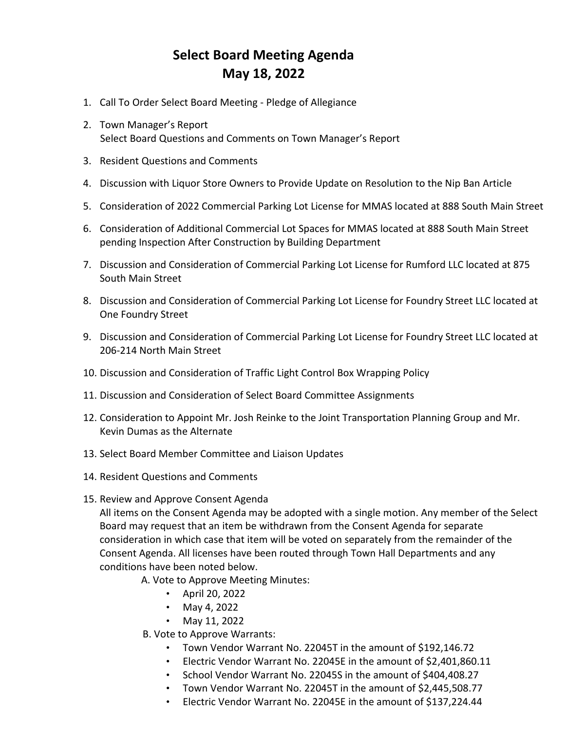## **Select Board Meeting Agenda May 18, 2022**

- 1. Call To Order Select Board Meeting Pledge of Allegiance
- 2. Town Manager's Report Select Board Questions and Comments on Town Manager's Report
- 3. Resident Questions and Comments
- 4. Discussion with Liquor Store Owners to Provide Update on Resolution to the Nip Ban Article
- 5. Consideration of 2022 Commercial Parking Lot License for MMAS located at 888 South Main Street
- 6. Consideration of Additional Commercial Lot Spaces for MMAS located at 888 South Main Street pending Inspection After Construction by Building Department
- 7. Discussion and Consideration of Commercial Parking Lot License for Rumford LLC located at 875 South Main Street
- 8. Discussion and Consideration of Commercial Parking Lot License for Foundry Street LLC located at One Foundry Street
- 9. Discussion and Consideration of Commercial Parking Lot License for Foundry Street LLC located at 206-214 North Main Street
- 10. Discussion and Consideration of Traffic Light Control Box Wrapping Policy
- 11. Discussion and Consideration of Select Board Committee Assignments
- 12. Consideration to Appoint Mr. Josh Reinke to the Joint Transportation Planning Group and Mr. Kevin Dumas as the Alternate
- 13. Select Board Member Committee and Liaison Updates
- 14. Resident Questions and Comments
- 15. Review and Approve Consent Agenda

All items on the Consent Agenda may be adopted with a single motion. Any member of the Select Board may request that an item be withdrawn from the Consent Agenda for separate consideration in which case that item will be voted on separately from the remainder of the Consent Agenda. All licenses have been routed through Town Hall Departments and any conditions have been noted below.

A. Vote to Approve Meeting Minutes:

- April 20, 2022
- May 4, 2022
- May 11, 2022

B. Vote to Approve Warrants:

- Town Vendor Warrant No. 22045T in the amount of \$192,146.72
- Electric Vendor Warrant No. 22045E in the amount of \$2,401,860.11
- School Vendor Warrant No. 22045S in the amount of \$404,408.27
- Town Vendor Warrant No. 22045T in the amount of \$2,445,508.77
- Electric Vendor Warrant No. 22045E in the amount of \$137,224.44